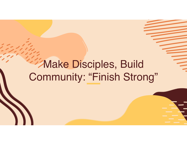# Make Disciples, Build Community: "Finish Strong"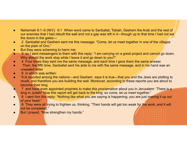- Nehemiah 6:1–9 (NIV): 6:1 When word came to Sanballat, Tobiah, Geshem the Arab and the rest of our enemies that I had rebuilt the wall and not a gap was left in it—though up to that time I had not set the doors in the gates—
- 2 Sanballat and Geshem sent me this message: "Come, let us meet together in one of the villages on the plain of Ono."
- But they were scheming to harm me;
- 3 so I sent messengers to them with this reply: "I am carrying on a great project and cannot go down. Why should the work stop while I leave it and go down to you?"
- 4 Four times they sent me the same message, and each time I gave them the same answer.
- Then, the fifth time, Sanballat sent his aide to me with the same message, and in his hand was an unsealed letter
- 6 in which was written:
- "It is reported among the nations—and Geshem says it is true—that you and the Jews are plotting to revolt, and therefore you are building the wall. Moreover, according to these reports you are about to become their king
- 7 and have even appointed prophets to make this proclamation about you in Jerusalem: 'There is a king in Judah!' Now this report will get back to the king; so come, let us meet together."
- 8 I sent him this reply: "Nothing like what you are saying is happening; you are just making it up out of your head."
- 9 They were all trying to frighten us, thinking, "Their hands will get too weak for the work, and it will not be completed."
- But I prayed, "Now strengthen my hands."

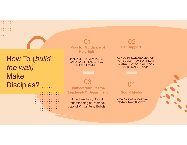# How To (*build the wall)*  Make Disciples?

 $\sim$  . . . . .



MAKE A LIST OF CONTACTS, FAMILY AND FRIENDS, PRAY FOR GUIDANCE

**Get Support:**  02

AS YOU MINGLE AND SEARCH FOR SOULS, PRAY FOR RIGHT PARTNER TO WORK WITH AND JOIN SMALL GROUP

03

**Connect with Pastor/ Leaders/PM Department**

Sound teaching, Sound understanding of Doctrine, copy of Virtual Fund Beliefs 04

**Social Media**

School Yourself to use Social Media to Make Disciples:

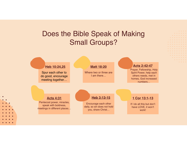## Does the Bible Speak of Making Small Groups?

 $\mathbf{a}$  and  $\mathbf{a}$  $\mathbf{0}^{\prime}=\mathbf{0}^{\prime}$ 

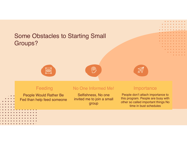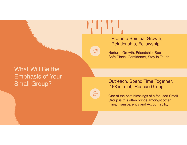Promote Spiritual Growth, Relationship, Fellowship,

Nurture, Growth, Friendship, Social, Safe Place, Confidence, Stay in Touch

### What Will Be the Emphasis of Your Small Group?

Outreach, Spend Time Together, '168 is a lot,' Rescue Group

One of the best blessings of a focused Small Group is this often brings amongst other thing, Transparency and Accountability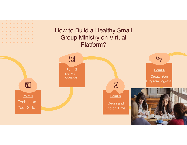